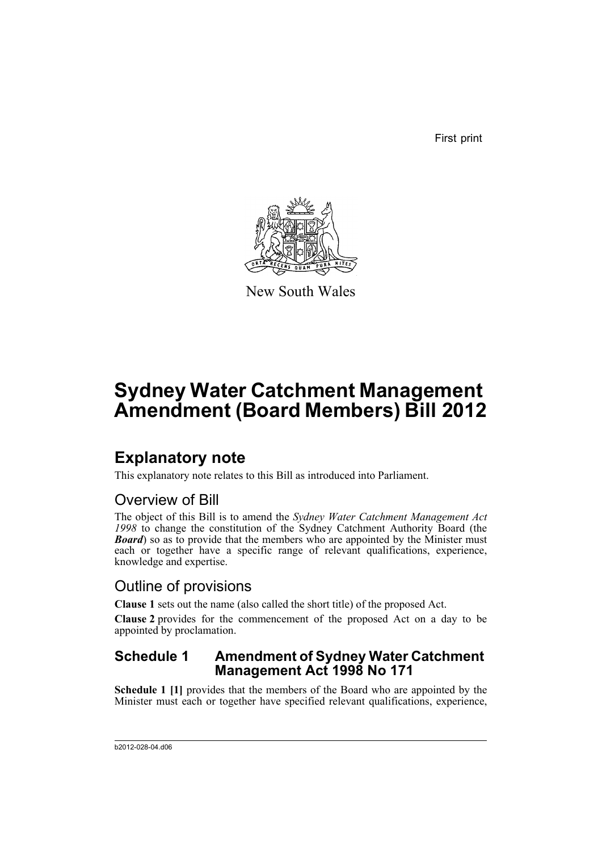First print



New South Wales

# **Sydney Water Catchment Management Amendment (Board Members) Bill 2012**

## **Explanatory note**

This explanatory note relates to this Bill as introduced into Parliament.

### Overview of Bill

The object of this Bill is to amend the *Sydney Water Catchment Management Act 1998* to change the constitution of the Sydney Catchment Authority Board (the **Board**) so as to provide that the members who are appointed by the Minister must each or together have a specific range of relevant qualifications, experience, knowledge and expertise.

### Outline of provisions

**Clause 1** sets out the name (also called the short title) of the proposed Act.

**Clause 2** provides for the commencement of the proposed Act on a day to be appointed by proclamation.

### **Schedule 1 Amendment of Sydney Water Catchment Management Act 1998 No 171**

**Schedule 1 [1]** provides that the members of the Board who are appointed by the Minister must each or together have specified relevant qualifications, experience,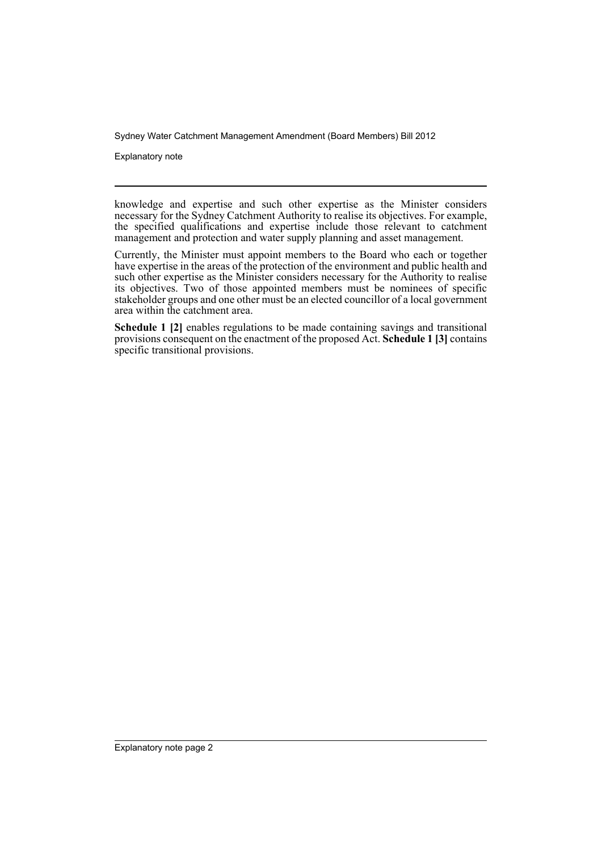Sydney Water Catchment Management Amendment (Board Members) Bill 2012

Explanatory note

knowledge and expertise and such other expertise as the Minister considers necessary for the Sydney Catchment Authority to realise its objectives. For example, the specified qualifications and expertise include those relevant to catchment management and protection and water supply planning and asset management.

Currently, the Minister must appoint members to the Board who each or together have expertise in the areas of the protection of the environment and public health and such other expertise as the Minister considers necessary for the Authority to realise its objectives. Two of those appointed members must be nominees of specific stakeholder groups and one other must be an elected councillor of a local government area within the catchment area.

**Schedule 1 [2]** enables regulations to be made containing savings and transitional provisions consequent on the enactment of the proposed Act. **Schedule 1 [3]** contains specific transitional provisions.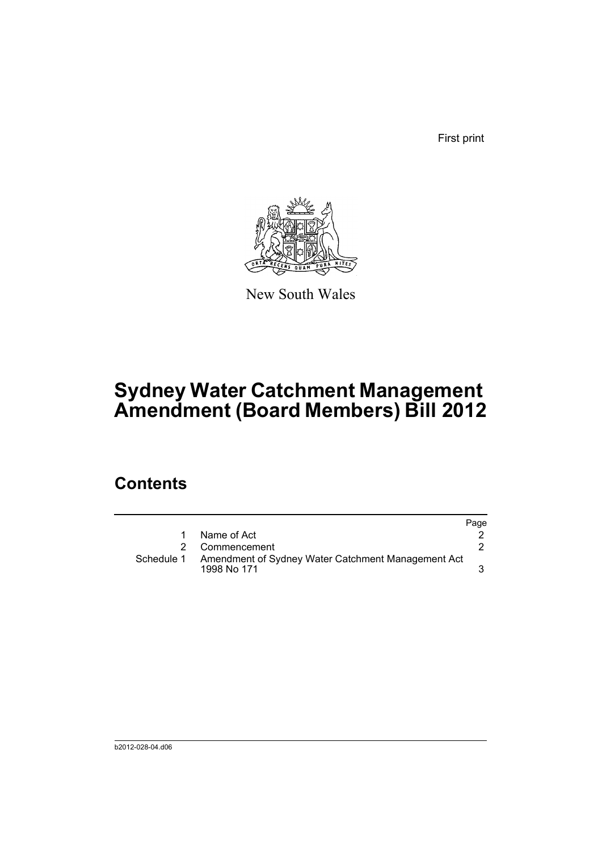First print



New South Wales

# **Sydney Water Catchment Management Amendment (Board Members) Bill 2012**

## **Contents**

|            |                                                                   | Page |
|------------|-------------------------------------------------------------------|------|
| 1.         | Name of Act                                                       |      |
|            | 2 Commencement                                                    |      |
| Schedule 1 | Amendment of Sydney Water Catchment Management Act<br>1998 No 171 |      |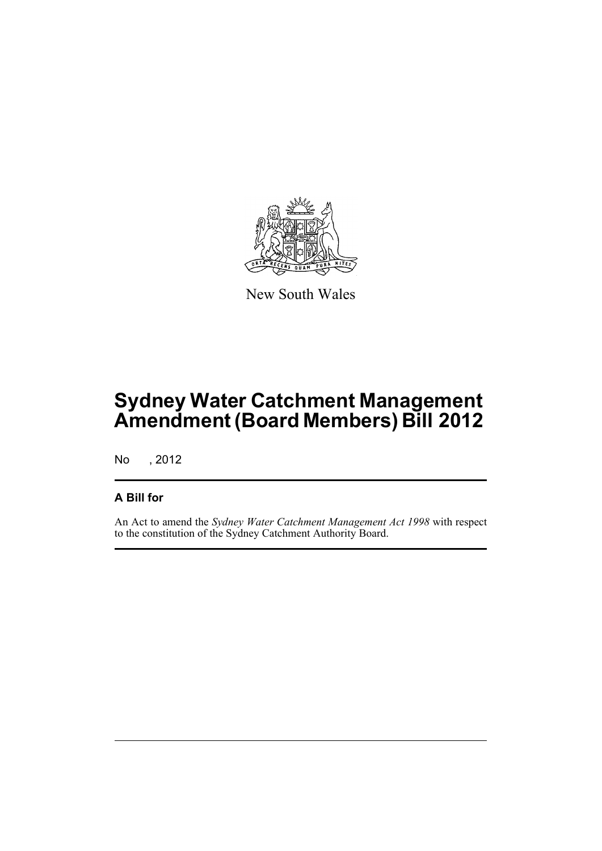

New South Wales

# **Sydney Water Catchment Management Amendment (Board Members) Bill 2012**

No , 2012

### **A Bill for**

An Act to amend the *Sydney Water Catchment Management Act 1998* with respect to the constitution of the Sydney Catchment Authority Board.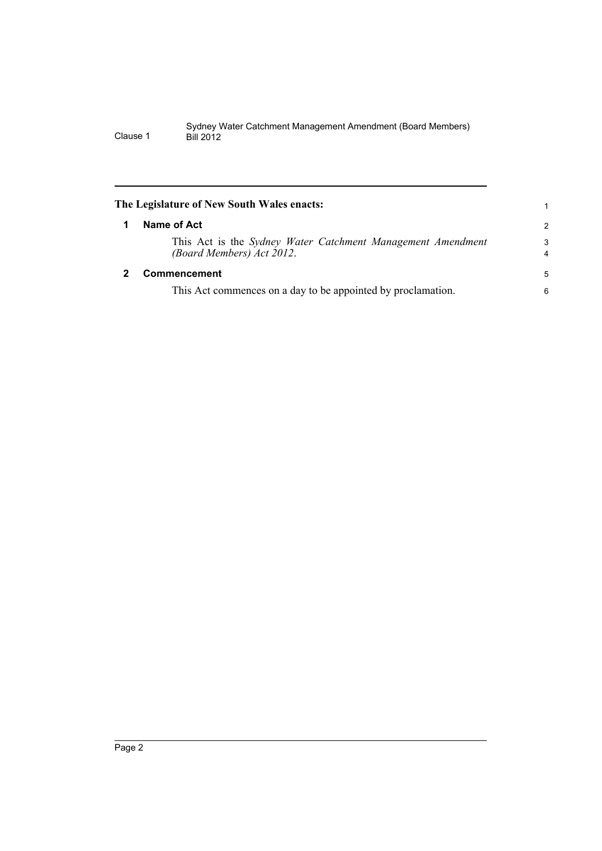<span id="page-5-1"></span><span id="page-5-0"></span>

| The Legislature of New South Wales enacts:                                               |                     |  |  |  |
|------------------------------------------------------------------------------------------|---------------------|--|--|--|
| Name of Act                                                                              | $\overline{2}$      |  |  |  |
| This Act is the Sydney Water Catchment Management Amendment<br>(Board Members) Act 2012. | 3<br>$\overline{4}$ |  |  |  |
| <b>Commencement</b>                                                                      | 5                   |  |  |  |
| This Act commences on a day to be appointed by proclamation.                             | 6                   |  |  |  |
|                                                                                          |                     |  |  |  |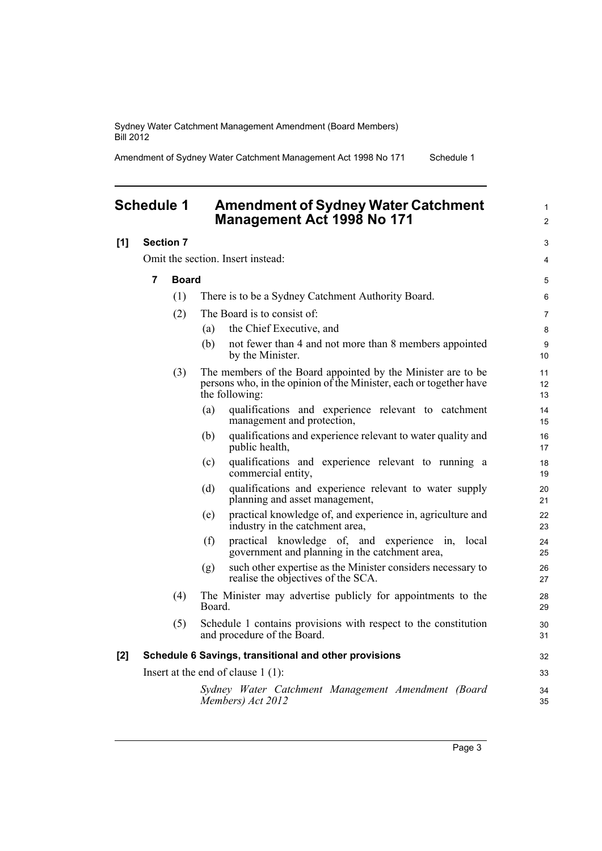Sydney Water Catchment Management Amendment (Board Members) Bill 2012

Amendment of Sydney Water Catchment Management Act 1998 No 171 Schedule 1

#### <span id="page-6-0"></span>**Schedule 1 Amendment of Sydney Water Catchment Management Act 1998 No 171**

| [1] | <b>Section 7</b> |              |                                                                                                                                                      | 3              |
|-----|------------------|--------------|------------------------------------------------------------------------------------------------------------------------------------------------------|----------------|
|     |                  |              | Omit the section. Insert instead:                                                                                                                    | 4              |
|     | $\overline{7}$   | <b>Board</b> |                                                                                                                                                      | 5              |
|     |                  | (1)          | There is to be a Sydney Catchment Authority Board.                                                                                                   | 6              |
|     |                  | (2)          | The Board is to consist of:                                                                                                                          | $\overline{7}$ |
|     |                  |              | the Chief Executive, and<br>(a)                                                                                                                      | 8              |
|     |                  |              | (b)<br>not fewer than 4 and not more than 8 members appointed<br>by the Minister.                                                                    | 9<br>10        |
|     |                  | (3)          | The members of the Board appointed by the Minister are to be<br>persons who, in the opinion of the Minister, each or together have<br>the following: | 11<br>12<br>13 |
|     |                  |              | qualifications and experience relevant to catchment<br>(a)<br>management and protection,                                                             | 14<br>15       |
|     |                  |              | qualifications and experience relevant to water quality and<br>(b)<br>public health,                                                                 | 16<br>17       |
|     |                  |              | qualifications and experience relevant to running a<br>(c)<br>commercial entity,                                                                     | 18<br>19       |
|     |                  |              | qualifications and experience relevant to water supply<br>(d)<br>planning and asset management,                                                      | 20<br>21       |
|     |                  |              | practical knowledge of, and experience in, agriculture and<br>(e)<br>industry in the catchment area,                                                 | 22<br>23       |
|     |                  |              | (f)<br>practical knowledge of, and experience in,<br>local<br>government and planning in the catchment area,                                         | 24<br>25       |
|     |                  |              | such other expertise as the Minister considers necessary to<br>(g)<br>realise the objectives of the SCA.                                             | 26<br>27       |
|     |                  | (4)          | The Minister may advertise publicly for appointments to the<br>Board.                                                                                | 28<br>29       |
|     |                  | (5)          | Schedule 1 contains provisions with respect to the constitution<br>and procedure of the Board.                                                       | 30<br>31       |
| [2] |                  |              | Schedule 6 Savings, transitional and other provisions                                                                                                | 32             |
|     |                  |              | Insert at the end of clause $1(1)$ :                                                                                                                 | 33             |
|     |                  |              | Sydney Water Catchment Management Amendment (Board<br>Members) Act 2012                                                                              | 34<br>35       |

1 2